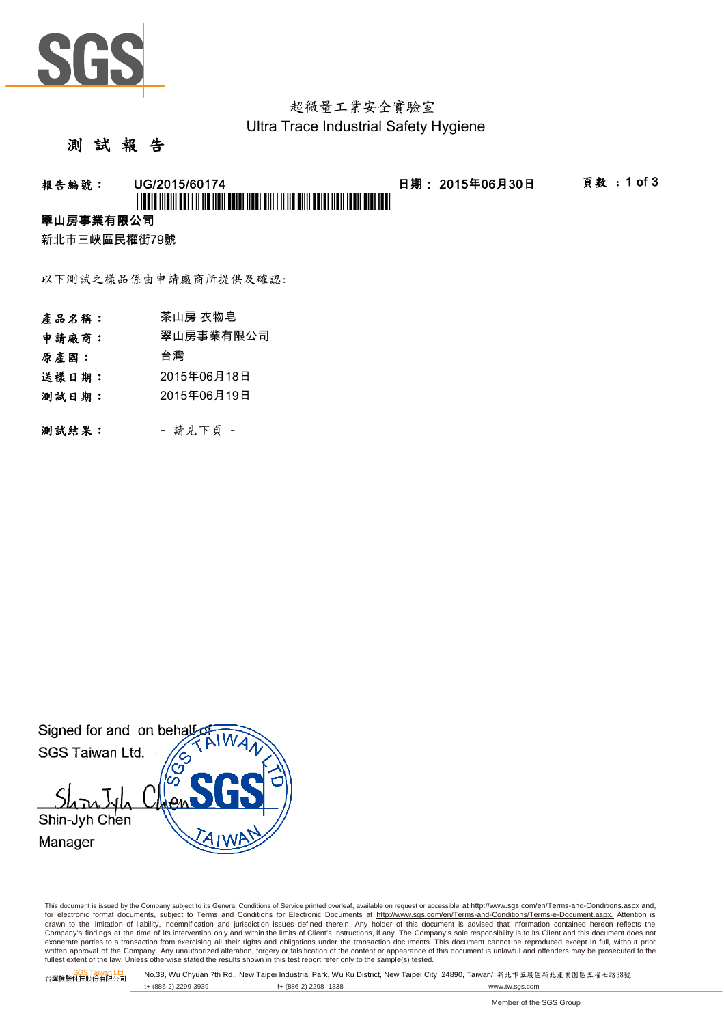

# 超微量工業安全實驗室 Ultra Trace Industrial Safety Hygiene

#### 測 試 報 告

#### **報告編號: UG/2015/60174 - 日期:2015年06月30日 - 頁敦:1 of 3**

# \*UGCA ANGHI GOT I ANG NGA GOTO NGO GAN TANG ONI GOTO NGO N

#### 翠山房事業有限公司

新北市三峽區民權街79號

以下測試之樣品係由申請廠商所提供及確認:

- 產品名稱: 茶山房 衣物皂
- 申請廠商: 翠山房事業有限公司
- 原產國: 台灣
- 送樣日期: 2015年06月18日
- 測試日期: 2015年06月19日
- 測試結果: 請見下頁 -

Signed for and on behalf SGS Taiwan Ltd. Shin-Jyh Chen Manager

This document is issued by the Company subject to its General Conditions of Service printed overleaf, available on request or accessible at http://www.sgs.com/en/Terms-and-Conditions.aspx and, for electronic format documents, subject to Terms and Conditions for Electronic Documents at <u>http://www.sqs.com/en/Terms-and-Conditions/Terms-e-Document.aspx.</u> Attention is<br>drawn to the limitation of liability, indemnific exonerate parties to a transaction from exercising all their rights and obligations under the transaction documents. This document cannot be reproduced except in full, without prior written approval of the Company. Any unauthorized alteration, forgery or falsification of the content or appearance of this document is unlawful and offenders may be prosecuted to the<br>fullest extent of the law. Unless othe

SGS Taiwan Ltd. No.38, Wu Chyuan 7th Rd., New Taipei Industrial Park, Wu Ku District, New Taipei City, 24890, Taiwan/ 新北市五股區新北產業園區五權七路38號<br>| t+ (886-2) 2299-3939 f+ (886-2) 2298 -1338 www.tw. t+ (886-2) 2299-3939 f+ (886-2) 2298 -1338 www.tw.sgs.com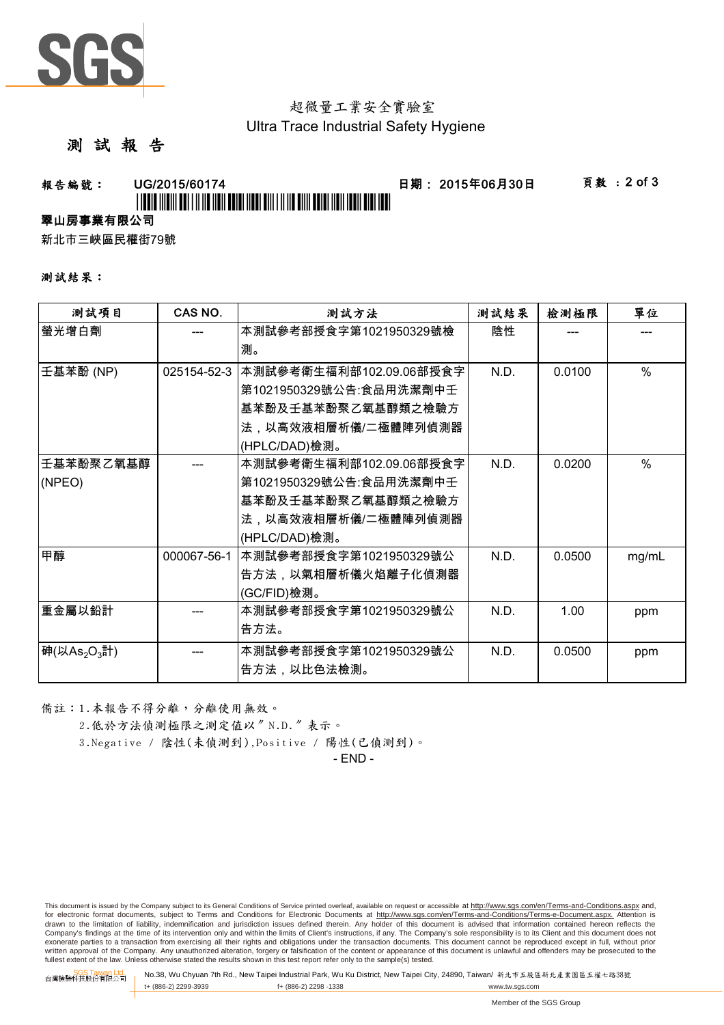

## 超微量工業安全實驗室 Ultra Trace Industrial Safety Hygiene

### 測 試 報 告

# **報告編號: UG/2015/60174 - 日期:2015年06月30日 - 頁數:2 of 3** \*UGINE IN THE LITTLE IN THE REAL PROPERTY OF A 11 YO MALE AND THE REAL PROPERTY.

#### 翠山房事業有限公司

新北市三峽區民權街79號

#### 測試結果:

| 測試項目                                           | CAS NO.     | 測試方法                    | 測試結果 | 檢測極限   | 單位            |
|------------------------------------------------|-------------|-------------------------|------|--------|---------------|
| 螢光增白劑                                          |             | 本測試參考部授食字第1021950329號檢  | 陰性   |        |               |
|                                                |             | 測。                      |      |        |               |
| 壬基苯酚 (NP)                                      | 025154-52-3 | 本測試參考衛生福利部102.09.06部授食字 | N.D. | 0.0100 | $\frac{0}{0}$ |
|                                                |             | 第1021950329號公告:食品用洗潔劑中壬 |      |        |               |
|                                                |             | 基苯酚及壬基苯酚聚乙氧基醇類之檢驗方      |      |        |               |
|                                                |             | 法,以高效液相層析儀/二極體陣列偵測器     |      |        |               |
|                                                |             | (HPLC/DAD)檢測。           |      |        |               |
| 壬基苯酚聚乙氧基醇                                      |             | 本測試參考衛生福利部102.09.06部授食字 | N.D. | 0.0200 | $\%$          |
| (NPEO)                                         |             | 第1021950329號公告:食品用洗潔劑中壬 |      |        |               |
|                                                |             | 基苯酚及壬基苯酚聚乙氧基醇類之檢驗方      |      |        |               |
|                                                |             | 法,以高效液相層析儀/二極體陣列偵測器     |      |        |               |
|                                                |             | (HPLC/DAD)檢測。           |      |        |               |
| 甲醇                                             | 000067-56-1 | 本測試參考部授食字第1021950329號公  | N.D. | 0.0500 | mg/mL         |
|                                                |             | 告方法,以氣相層析儀火焰離子化偵測器      |      |        |               |
|                                                |             | (GC/FID)檢測。             |      |        |               |
| 重金屬以鉛計                                         |             | 本測試參考部授食字第1021950329號公  | N.D. | 1.00   | ppm           |
|                                                |             | 告方法。                    |      |        |               |
| 神 $(\forall$ As <sub>2</sub> O <sub>3</sub> 計) |             | 本測試參考部授食字第1021950329號公  | N.D. | 0.0500 | ppm           |
|                                                |             | 告方法,以比色法檢測。             |      |        |               |

備註:1.本報告不得分離,分離使用無效。

2.低於方法偵測極限之測定值以〞N.D.〞表示。

3.Negative / 陰性(未偵測到),Positive / 陽性(已偵測到)。

- END -

This document is issued by the Company subject to its General Conditions of Service printed overleaf, available on request or accessible at http://www.sgs.com/en/Terms-and-Conditions.aspx and, for electronic format documents, subject to Terms and Conditions for Electronic Documents at http://www.sgs.com/en/Terms-and-Conditions/Terms-e-Document.aspx. Attention is drawn to the limitation of liability, indemnification and jurisdiction issues defined therein. Any holder of this document is advised that information contained hereon reflects the<br>Company's findings at the time of its int exonerate parties to a transaction from exercising all their rights and obligations under the transaction documents. This document cannot be reproduced except in full, without prior written approval of the Company. Any unauthorized alteration, forgery or falsification of the content or appearance of this document is unlawful and offenders may be prosecuted to the<br>fullest extent of the law. Unless othe

SGS Taiwan Ltd. 台灣檢驗科技股份有限公司 No.38, Wu Chyuan 7th Rd., New Taipei Industrial Park, Wu Ku District, New Taipei City, 24890, Taiwan/ 新北市五股區新北產業園區五權七路38號 t+ (886-2) 2299-3939 f+ (886-2) 2298 -1338 www.tw.sgs.com